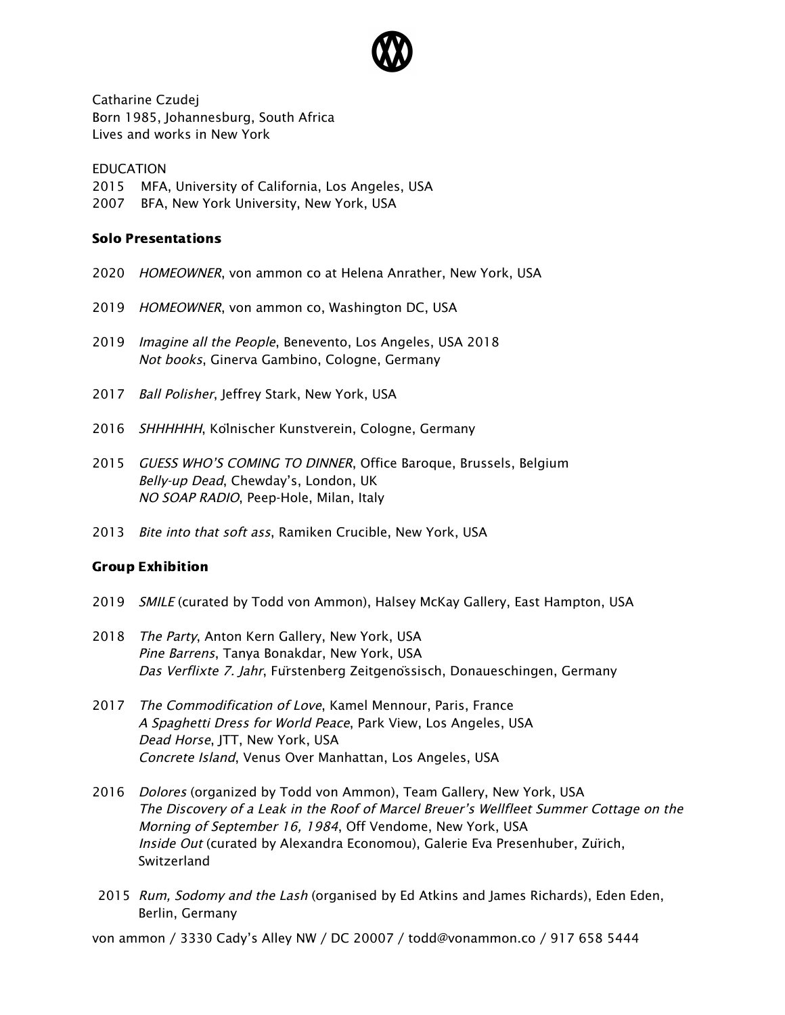

Catharine Czudej Born 1985, Johannesburg, South Africa Lives and works in New York

## EDUCATION

- 2015 MFA, University of California, Los Angeles, USA
- 2007 BFA, New York University, New York, USA

## Solo Presentations

- 2020 HOMEOWNER, von ammon co at Helena Anrather, New York, USA
- 2019 HOMEOWNER, von ammon co, Washington DC, USA
- 2019 Imagine all the People, Benevento, Los Angeles, USA 2018 Not books, Ginerva Gambino, Cologne, Germany
- 2017 Ball Polisher, Jeffrey Stark, New York, USA
- 2016 SHHHHHH, Kolnischer Kunstverein, Cologne, Germany
- 2015 GUESS WHO'S COMING TO DINNER, Office Baroque, Brussels, Belgium Belly-up Dead, Chewday's, London, UK NO SOAP RADIO, Peep-Hole, Milan, Italy
- 2013 Bite into that soft ass, Ramiken Crucible, New York, USA

## Group Exhibition

- 2019 *SMILE* (curated by Todd von Ammon), Halsey McKay Gallery, East Hampton, USA
- 2018 The Party, Anton Kern Gallery, New York, USA Pine Barrens, Tanya Bonakdar, New York, USA Das Verflixte 7. Jahr, Fürstenberg Zeitgenössisch, Donaueschingen, Germany
- 2017 The Commodification of Love, Kamel Mennour, Paris, France A Spaghetti Dress for World Peace, Park View, Los Angeles, USA Dead Horse, JTT, New York, USA Concrete Island, Venus Over Manhattan, Los Angeles, USA
- 2016 Dolores (organized by Todd von Ammon), Team Gallery, New York, USA The Discovery of <sup>a</sup> Leak in the Roof of Marcel Breuer's Wellfleet Summer Cottage on the Morning of September 16, 1984, Off Vendome, New York, USA Inside Out (curated by Alexandra Economou), Galerie Eva Presenhuber, Zurich, Switzerland
- 2015 Rum, Sodomy and the Lash (organised by Ed Atkins and James Richards), Eden Eden, Berlin, Germany

von ammon / 3330 Cady's Alley NW / DC 20007 / todd@vonammon.co / 917 658 5444